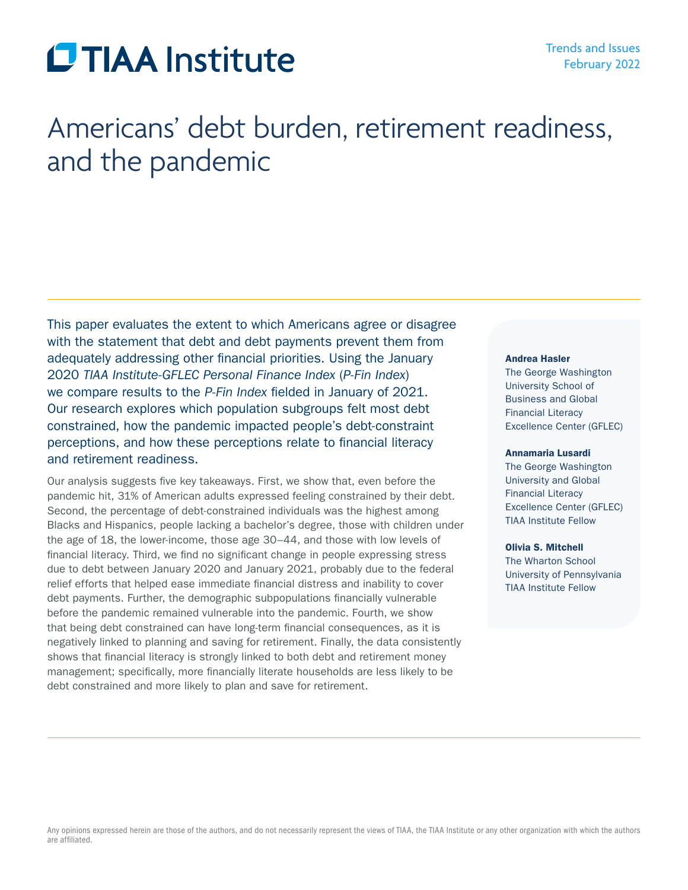# **CTIAA** Institute

## Americans' debt burden, retirement readiness, and the pandemic

This paper evaluates the extent to which Americans agree or disagree with the statement that debt and debt payments prevent them from adequately addressing other financial priorities. Using the January 2020 *TIAA Institute-GFLEC Personal Finance Index* (*P-Fin Index*) we compare results to the *P-Fin Index* fielded in January of 2021. Our research explores which population subgroups felt most debt constrained, how the pandemic impacted people's debt-constraint perceptions, and how these perceptions relate to financial literacy and retirement readiness.

Our analysis suggests five key takeaways. First, we show that, even before the pandemic hit, 31% of American adults expressed feeling constrained by their debt. Second, the percentage of debt-constrained individuals was the highest among Blacks and Hispanics, people lacking a bachelor's degree, those with children under the age of 18, the lower-income, those age 30–44, and those with low levels of financial literacy. Third, we find no significant change in people expressing stress due to debt between January 2020 and January 2021, probably due to the federal relief efforts that helped ease immediate financial distress and inability to cover debt payments. Further, the demographic subpopulations financially vulnerable before the pandemic remained vulnerable into the pandemic. Fourth, we show that being debt constrained can have long-term financial consequences, as it is negatively linked to planning and saving for retirement. Finally, the data consistently shows that financial literacy is strongly linked to both debt and retirement money management; specifically, more financially literate households are less likely to be debt constrained and more likely to plan and save for retirement.

#### Andrea Hasler

The George Washington University School of Business and Global Financial Literacy Excellence Center (GFLEC)

#### Annamaria Lusardi

The George Washington University and Global Financial Literacy Excellence Center (GFLEC) TIAA Institute Fellow

#### Olivia S. Mitchell

The Wharton School University of Pennsylvania TIAA Institute Fellow

Any opinions expressed herein are those of the authors, and do not necessarily represent the views of TIAA, the TIAA Institute or any other organization with which the authors are affiliated.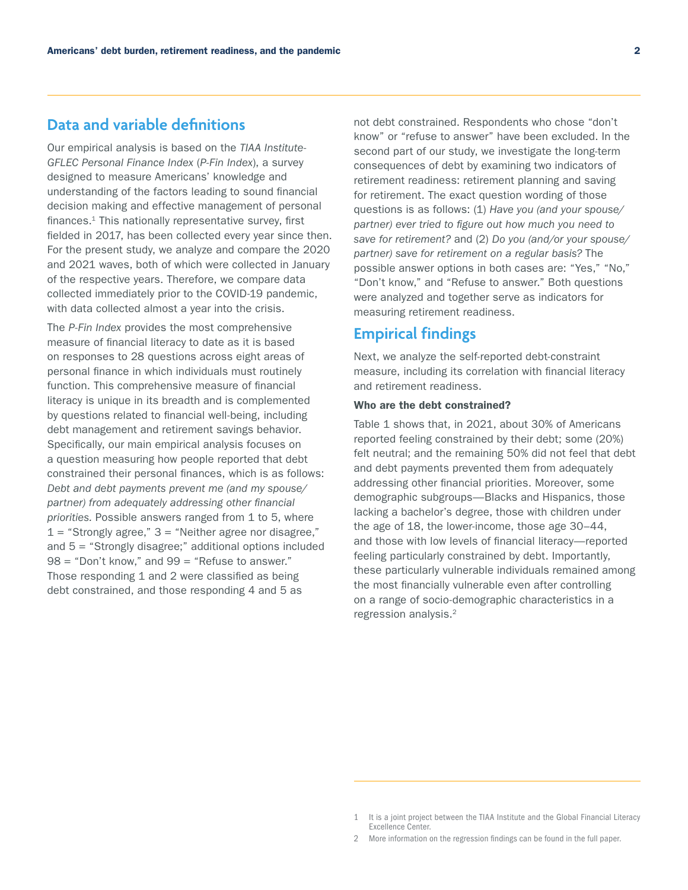## **Data and variable definitions**

Our empirical analysis is based on the *TIAA Institute-GFLEC Personal Finance Index* (*P-Fin Index*), a survey designed to measure Americans' knowledge and understanding of the factors leading to sound financial decision making and effective management of personal finances.<sup>1</sup> This nationally representative survey, first fielded in 2017, has been collected every year since then. For the present study, we analyze and compare the 2020 and 2021 waves, both of which were collected in January of the respective years. Therefore, we compare data collected immediately prior to the COVID-19 pandemic, with data collected almost a year into the crisis.

The *P-Fin Index* provides the most comprehensive measure of financial literacy to date as it is based on responses to 28 questions across eight areas of personal finance in which individuals must routinely function. This comprehensive measure of financial literacy is unique in its breadth and is complemented by questions related to financial well-being, including debt management and retirement savings behavior. Specifically, our main empirical analysis focuses on a question measuring how people reported that debt constrained their personal finances, which is as follows: *Debt and debt payments prevent me (and my spouse/ partner) from adequately addressing other financial priorities.* Possible answers ranged from 1 to 5, where  $1 =$  "Strongly agree,"  $3 =$  "Neither agree nor disagree," and 5 = "Strongly disagree;" additional options included  $98 =$  "Don't know," and  $99 =$  "Refuse to answer." Those responding 1 and 2 were classified as being debt constrained, and those responding 4 and 5 as

not debt constrained. Respondents who chose "don't know" or "refuse to answer" have been excluded. In the second part of our study, we investigate the long-term consequences of debt by examining two indicators of retirement readiness: retirement planning and saving for retirement. The exact question wording of those questions is as follows: (1) *Have you (and your spouse/ partner) ever tried to figure out how much you need to save for retirement?* and (2) *Do you (and/or your spouse/ partner) save for retirement on a regular basis?* The possible answer options in both cases are: "Yes," "No," "Don't know," and "Refuse to answer." Both questions were analyzed and together serve as indicators for measuring retirement readiness.

### **Empirical findings**

Next, we analyze the self-reported debt-constraint measure, including its correlation with financial literacy and retirement readiness.

#### Who are the debt constrained?

Table 1 shows that, in 2021, about 30% of Americans reported feeling constrained by their debt; some (20%) felt neutral; and the remaining 50% did not feel that debt and debt payments prevented them from adequately addressing other financial priorities. Moreover, some demographic subgroups—Blacks and Hispanics, those lacking a bachelor's degree, those with children under the age of 18, the lower-income, those age 30–44, and those with low levels of financial literacy—reported feeling particularly constrained by debt. Importantly, these particularly vulnerable individuals remained among the most financially vulnerable even after controlling on a range of socio-demographic characteristics in a regression analysis.2

<sup>1</sup> It is a joint project between the TIAA Institute and the Global Financial Literacy Excellence Center.

<sup>2</sup> More information on the regression findings can be found in the full paper.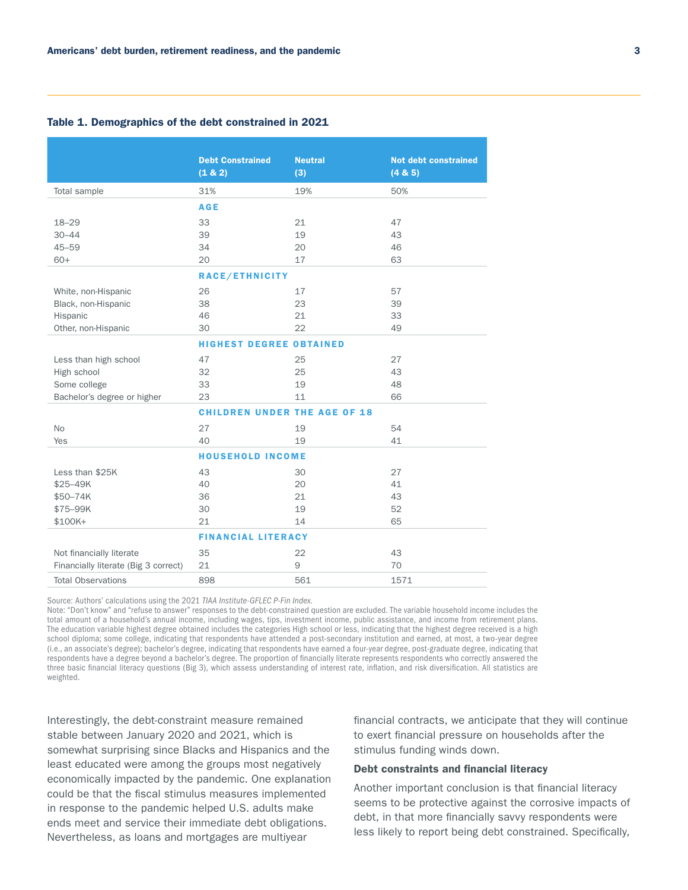|                                      | <b>Debt Constrained</b>             | <b>Neutral</b> | <b>Not debt constrained</b> |
|--------------------------------------|-------------------------------------|----------------|-----------------------------|
|                                      | (1 & 2)                             | (3)            | (4 & 5)                     |
| Total sample                         | 31%                                 | 19%            | 50%                         |
|                                      | <b>AGE</b>                          |                |                             |
| $18 - 29$                            | 33                                  | 21             | 47                          |
| $30 - 44$                            | 39                                  | 19             | 43                          |
| $45 - 59$                            | 34                                  | 20             | 46                          |
| $60+$                                | 20                                  | 17             | 63                          |
|                                      | RACE/ETHNICITY                      |                |                             |
| White, non-Hispanic                  | 26                                  | 17             | 57                          |
| Black, non-Hispanic                  | 38                                  | 23             | 39                          |
| Hispanic                             | 46                                  | 21             | 33                          |
| Other, non-Hispanic                  | 30                                  | 22             | 49                          |
|                                      | <b>HIGHEST DEGREE OBTAINED</b>      |                |                             |
| Less than high school                | 47                                  | 25             | 27                          |
| High school                          | 32                                  | 25             | 43                          |
| Some college                         | 33                                  | 19             | 48                          |
| Bachelor's degree or higher          | 23                                  | 11             | 66                          |
|                                      | <b>CHILDREN UNDER THE AGE OF 18</b> |                |                             |
| <b>No</b>                            | 27                                  | 19             | 54                          |
| Yes                                  | 40                                  | 19             | 41                          |
|                                      | <b>HOUSEHOLD INCOME</b>             |                |                             |
| Less than \$25K                      | 43                                  | 30             | 27                          |
| \$25-49K                             | 40                                  | 20             | 41                          |
| \$50-74K                             | 36                                  | 21             | 43                          |
| \$75-99K                             | 30                                  | 19             | 52                          |
| $$100K+$                             | 21                                  | 14             | 65                          |
|                                      | <b>FINANCIAL LITERACY</b>           |                |                             |
| Not financially literate             | 35                                  | 22             | 43                          |
| Financially literate (Big 3 correct) | 21                                  | 9              | 70                          |
| <b>Total Observations</b>            | 898                                 | 561            | 1571                        |

#### Table 1. Demographics of the debt constrained in 2021

Source: Authors' calculations using the 2021 *TIAA Institute-GFLEC P-Fin Index.*

Note: "Don't know" and "refuse to answer" responses to the debt-constrained question are excluded. The variable household income includes the total amount of a household's annual income, including wages, tips, investment income, public assistance, and income from retirement plans. The education variable highest degree obtained includes the categories High school or less, indicating that the highest degree received is a high school diploma; some college, indicating that respondents have attended a post-secondary institution and earned, at most, a two-year degree (i.e., an associate's degree); bachelor's degree, indicating that respondents have earned a four-year degree, post-graduate degree, indicating that respondents have a degree beyond a bachelor's degree. The proportion of financially literate represents respondents who correctly answered the three basic financial literacy questions (Big 3), which assess understanding of interest rate, inflation, and risk diversification. All statistics are weighted.

Interestingly, the debt-constraint measure remained stable between January 2020 and 2021, which is somewhat surprising since Blacks and Hispanics and the least educated were among the groups most negatively economically impacted by the pandemic. One explanation could be that the fiscal stimulus measures implemented in response to the pandemic helped U.S. adults make ends meet and service their immediate debt obligations. Nevertheless, as loans and mortgages are multiyear

financial contracts, we anticipate that they will continue to exert financial pressure on households after the stimulus funding winds down.

#### Debt constraints and financial literacy

Another important conclusion is that financial literacy seems to be protective against the corrosive impacts of debt, in that more financially savvy respondents were less likely to report being debt constrained. Specifically,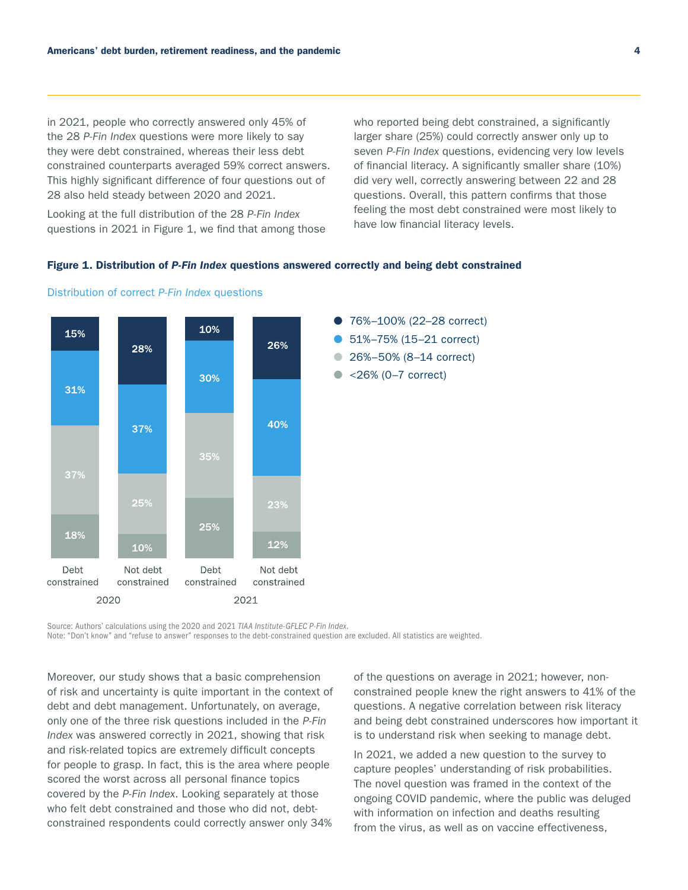in 2021, people who correctly answered only 45% of the 28 *P-Fin Index* questions were more likely to say they were debt constrained, whereas their less debt constrained counterparts averaged 59% correct answers. This highly significant difference of four questions out of 28 also held steady between 2020 and 2021.

Looking at the full distribution of the 28 *P-Fin Index*  questions in 2021 in Figure 1, we find that among those who reported being debt constrained, a significantly larger share (25%) could correctly answer only up to seven *P-Fin Index* questions, evidencing very low levels of financial literacy. A significantly smaller share (10%) did very well, correctly answering between 22 and 28 questions. Overall, this pattern confirms that those feeling the most debt constrained were most likely to have low financial literacy levels.

#### Figure 1. Distribution of *P-Fin Index* questions answered correctly and being debt constrained





Source: Authors' calculations using the 2020 and 2021 *TIAA Institute-GFLEC P-Fin Index*.

Note: "Don't know" and "refuse to answer" responses to the debt-constrained question are excluded. All statistics are weighted.

Moreover, our study shows that a basic comprehension of risk and uncertainty is quite important in the context of debt and debt management. Unfortunately, on average, only one of the three risk questions included in the *P-Fin Index* was answered correctly in 2021, showing that risk and risk-related topics are extremely difficult concepts for people to grasp. In fact, this is the area where people scored the worst across all personal finance topics covered by the *P-Fin Index*. Looking separately at those who felt debt constrained and those who did not, debtconstrained respondents could correctly answer only 34%

of the questions on average in 2021; however, nonconstrained people knew the right answers to 41% of the questions. A negative correlation between risk literacy and being debt constrained underscores how important it is to understand risk when seeking to manage debt.

In 2021, we added a new question to the survey to capture peoples' understanding of risk probabilities. The novel question was framed in the context of the ongoing COVID pandemic, where the public was deluged with information on infection and deaths resulting from the virus, as well as on vaccine effectiveness,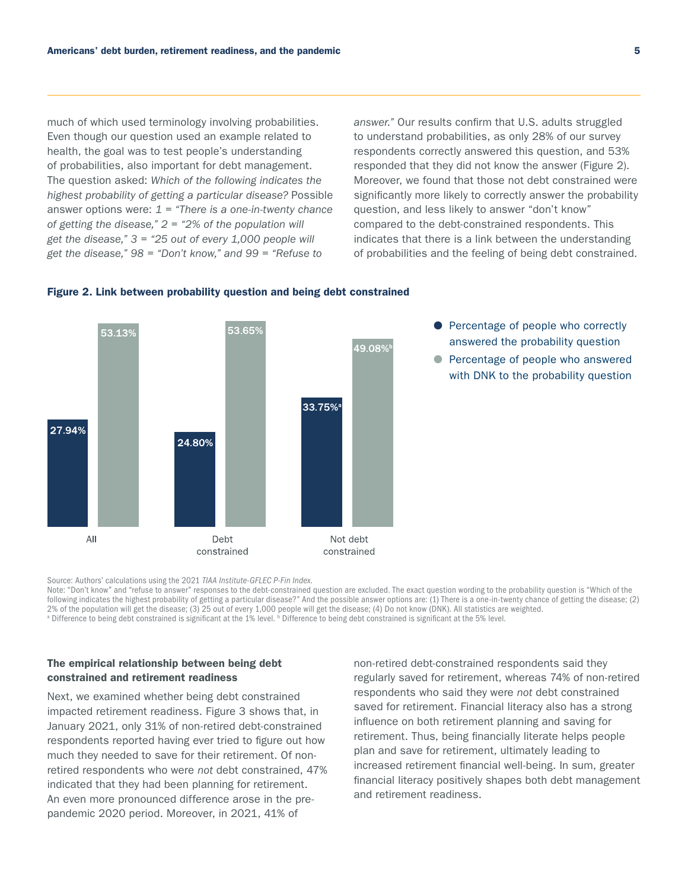much of which used terminology involving probabilities. Even though our question used an example related to health, the goal was to test people's understanding of probabilities, also important for debt management. The question asked: *Which of the following indicates the highest probability of getting a particular disease?* Possible answer options were: *1 = "There is a one-in-twenty chance of getting the disease," 2 = "2% of the population will get the disease," 3 = "25 out of every 1,000 people will get the disease," 98 = "Don't know," and 99 = "Refuse to* 

*answer."* Our results confirm that U.S. adults struggled to understand probabilities, as only 28% of our survey respondents correctly answered this question, and 53% responded that they did not know the answer (Figure 2). Moreover, we found that those not debt constrained were significantly more likely to correctly answer the probability question, and less likely to answer "don't know" compared to the debt-constrained respondents. This indicates that there is a link between the understanding of probabilities and the feeling of being debt constrained.

> ● Percentage of people who correctly answered the probability question ● Percentage of people who answered with DNK to the probability question



#### Figure 2. Link between probability question and being debt constrained

Source: Authors' calculations using the 2021 *TIAA Institute-GFLEC P-Fin Index*.

Note: "Don't know" and "refuse to answer" responses to the debt-constrained question are excluded. The exact question wording to the probability question is "Which of the following indicates the highest probability of getting a particular disease?" And the possible answer options are: (1) There is a one-in-twenty chance of getting the disease; (2) 2% of the population will get the disease; (3) 25 out of every 1,000 people will get the disease; (4) Do not know (DNK). All statistics are weighted. <sup>a</sup> Difference to being debt constrained is significant at the 1% level. <sup>b</sup> Difference to being debt constrained is significant at the 5% level.

#### The empirical relationship between being debt constrained and retirement readiness

Next, we examined whether being debt constrained impacted retirement readiness. Figure 3 shows that, in January 2021, only 31% of non-retired debt-constrained respondents reported having ever tried to figure out how much they needed to save for their retirement. Of nonretired respondents who were *not* debt constrained, 47% indicated that they had been planning for retirement. An even more pronounced difference arose in the prepandemic 2020 period. Moreover, in 2021, 41% of

non-retired debt-constrained respondents said they regularly saved for retirement, whereas 74% of non-retired respondents who said they were *not* debt constrained saved for retirement. Financial literacy also has a strong influence on both retirement planning and saving for retirement. Thus, being financially literate helps people plan and save for retirement, ultimately leading to increased retirement financial well-being. In sum, greater financial literacy positively shapes both debt management and retirement readiness.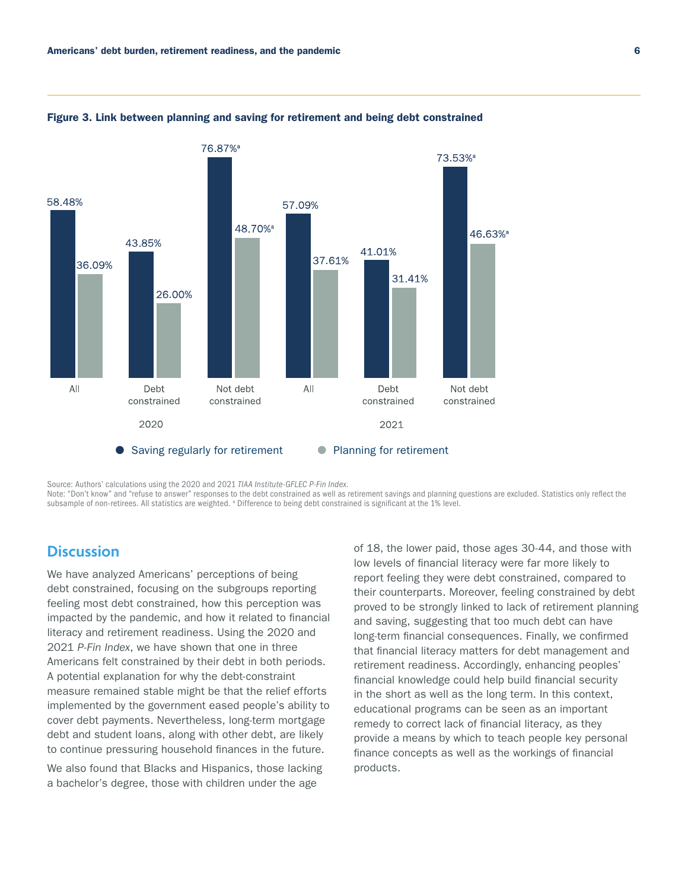

Figure 3. Link between planning and saving for retirement and being debt constrained

Source: Authors' calculations using the 2020 and 2021 *TIAA Institute-GFLEC P-Fin Index*. Note: "Don't know" and "refuse to answer" responses to the debt constrained as well as retirement savings and planning questions are excluded. Statistics only reflect the subsample of non-retirees. All statistics are weighted. <sup>a</sup> Difference to being debt constrained is significant at the 1% level.

## **Discussion**

We have analyzed Americans' perceptions of being debt constrained, focusing on the subgroups reporting feeling most debt constrained, how this perception was impacted by the pandemic, and how it related to financial literacy and retirement readiness. Using the 2020 and 2021 *P-Fin Index*, we have shown that one in three Americans felt constrained by their debt in both periods. A potential explanation for why the debt-constraint measure remained stable might be that the relief efforts implemented by the government eased people's ability to cover debt payments. Nevertheless, long-term mortgage debt and student loans, along with other debt, are likely to continue pressuring household finances in the future.

We also found that Blacks and Hispanics, those lacking a bachelor's degree, those with children under the age

of 18, the lower paid, those ages 30-44, and those with low levels of financial literacy were far more likely to report feeling they were debt constrained, compared to their counterparts. Moreover, feeling constrained by debt proved to be strongly linked to lack of retirement planning and saving, suggesting that too much debt can have long-term financial consequences. Finally, we confirmed that financial literacy matters for debt management and retirement readiness. Accordingly, enhancing peoples' financial knowledge could help build financial security in the short as well as the long term. In this context, educational programs can be seen as an important remedy to correct lack of financial literacy, as they provide a means by which to teach people key personal finance concepts as well as the workings of financial products.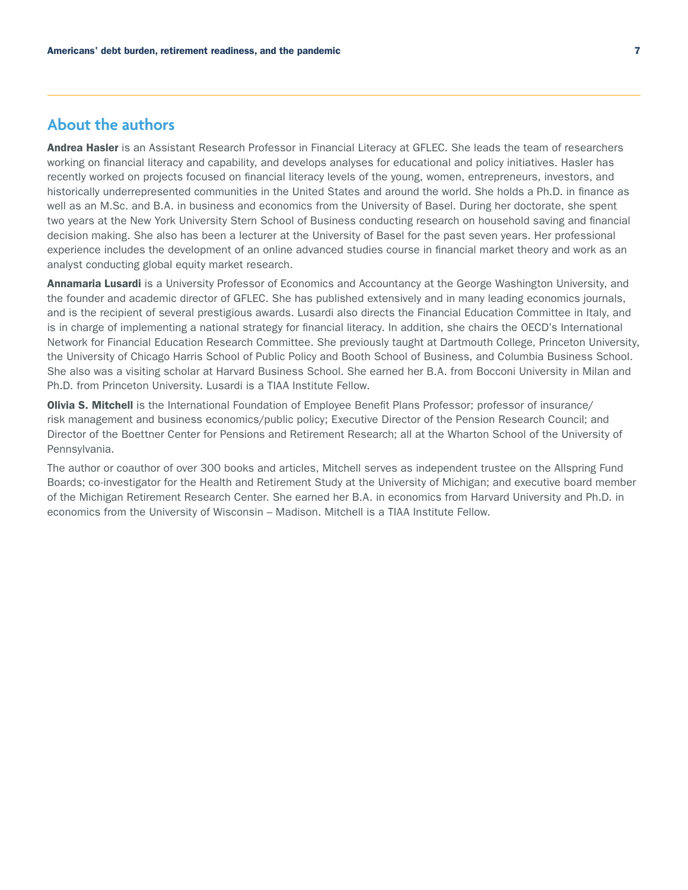## **About the authors**

Andrea Hasler is an Assistant Research Professor in Financial Literacy at GFLEC. She leads the team of researchers working on financial literacy and capability, and develops analyses for educational and policy initiatives. Hasler has recently worked on projects focused on financial literacy levels of the young, women, entrepreneurs, investors, and historically underrepresented communities in the United States and around the world. She holds a Ph.D. in finance as well as an M.Sc. and B.A. in business and economics from the University of Basel. During her doctorate, she spent two years at the New York University Stern School of Business conducting research on household saving and financial decision making. She also has been a lecturer at the University of Basel for the past seven years. Her professional experience includes the development of an online advanced studies course in financial market theory and work as an analyst conducting global equity market research.

Annamaria Lusardi is a University Professor of Economics and Accountancy at the George Washington University, and the founder and academic director of GFLEC. She has published extensively and in many leading economics journals, and is the recipient of several prestigious awards. Lusardi also directs the Financial Education Committee in Italy, and is in charge of implementing a national strategy for financial literacy. In addition, she chairs the OECD's International Network for Financial Education Research Committee. She previously taught at Dartmouth College, Princeton University, the University of Chicago Harris School of Public Policy and Booth School of Business, and Columbia Business School. She also was a visiting scholar at Harvard Business School. She earned her B.A. from Bocconi University in Milan and Ph.D. from Princeton University. Lusardi is a TIAA Institute Fellow.

**Olivia S. Mitchell** is the International Foundation of Employee Benefit Plans Professor; professor of insurance/ risk management and business economics/public policy; Executive Director of the Pension Research Council; and Director of the Boettner Center for Pensions and Retirement Research; all at the Wharton School of the University of Pennsylvania.

The author or coauthor of over 300 books and articles, Mitchell serves as independent trustee on the Allspring Fund Boards; co-investigator for the Health and Retirement Study at the University of Michigan; and executive board member of the Michigan Retirement Research Center. She earned her B.A. in economics from Harvard University and Ph.D. in economics from the University of Wisconsin – Madison. Mitchell is a TIAA Institute Fellow.